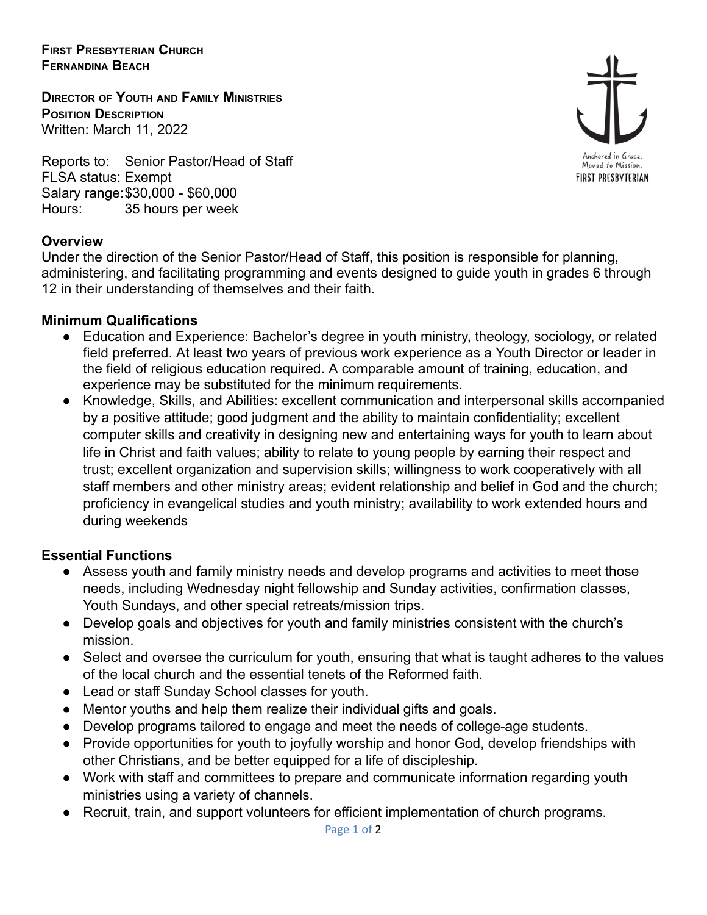**FIRST PRESBYTERIAN CHURCH FERNANDINA BEACH**

**DIRECTOR OF YOUTH AND FAMILY MINISTRIES POSITION DESCRIPTION** Written: March 11, 2022

Reports to: Senior Pastor/Head of Staff FLSA status: Exempt Salary range:\$30,000 - \$60,000 Hours: 35 hours per week

## **Overview**

Under the direction of the Senior Pastor/Head of Staff, this position is responsible for planning, administering, and facilitating programming and events designed to guide youth in grades 6 through 12 in their understanding of themselves and their faith.

## **Minimum Qualifications**

- Education and Experience: Bachelor's degree in youth ministry, theology, sociology, or related field preferred. At least two years of previous work experience as a Youth Director or leader in the field of religious education required. A comparable amount of training, education, and experience may be substituted for the minimum requirements.
- Knowledge, Skills, and Abilities: excellent communication and interpersonal skills accompanied by a positive attitude; good judgment and the ability to maintain confidentiality; excellent computer skills and creativity in designing new and entertaining ways for youth to learn about life in Christ and faith values; ability to relate to young people by earning their respect and trust; excellent organization and supervision skills; willingness to work cooperatively with all staff members and other ministry areas; evident relationship and belief in God and the church; proficiency in evangelical studies and youth ministry; availability to work extended hours and during weekends

## **Essential Functions**

- Assess youth and family ministry needs and develop programs and activities to meet those needs, including Wednesday night fellowship and Sunday activities, confirmation classes, Youth Sundays, and other special retreats/mission trips.
- Develop goals and objectives for youth and family ministries consistent with the church's mission.
- Select and oversee the curriculum for youth, ensuring that what is taught adheres to the values of the local church and the essential tenets of the Reformed faith.
- Lead or staff Sunday School classes for youth.
- Mentor youths and help them realize their individual gifts and goals.
- Develop programs tailored to engage and meet the needs of college-age students.
- Provide opportunities for youth to joyfully worship and honor God, develop friendships with other Christians, and be better equipped for a life of discipleship.
- Work with staff and committees to prepare and communicate information regarding youth ministries using a variety of channels.
- Recruit, train, and support volunteers for efficient implementation of church programs.